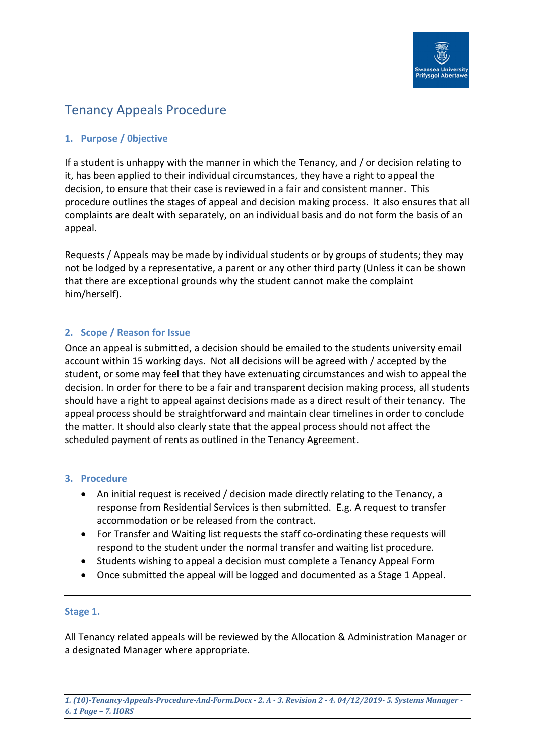

# Tenancy Appeals Procedure

## **1. Purpose / 0bjective**

If a student is unhappy with the manner in which the Tenancy, and / or decision relating to it, has been applied to their individual circumstances, they have a right to appeal the decision, to ensure that their case is reviewed in a fair and consistent manner. This procedure outlines the stages of appeal and decision making process. It also ensures that all complaints are dealt with separately, on an individual basis and do not form the basis of an appeal.

Requests / Appeals may be made by individual students or by groups of students; they may not be lodged by a representative, a parent or any other third party (Unless it can be shown that there are exceptional grounds why the student cannot make the complaint him/herself).

## **2. Scope / Reason for Issue**

Once an appeal is submitted, a decision should be emailed to the students university email account within 15 working days. Not all decisions will be agreed with / accepted by the student, or some may feel that they have extenuating circumstances and wish to appeal the decision. In order for there to be a fair and transparent decision making process, all students should have a right to appeal against decisions made as a direct result of their tenancy. The appeal process should be straightforward and maintain clear timelines in order to conclude the matter. It should also clearly state that the appeal process should not affect the scheduled payment of rents as outlined in the Tenancy Agreement.

#### **3. Procedure**

- An initial request is received / decision made directly relating to the Tenancy, a response from Residential Services is then submitted. E.g. A request to transfer accommodation or be released from the contract.
- For Transfer and Waiting list requests the staff co-ordinating these requests will respond to the student under the normal transfer and waiting list procedure.
- Students wishing to appeal a decision must complete a Tenancy Appeal Form
- Once submitted the appeal will be logged and documented as a Stage 1 Appeal.

#### **Stage 1.**

All Tenancy related appeals will be reviewed by the Allocation & Administration Manager or a designated Manager where appropriate.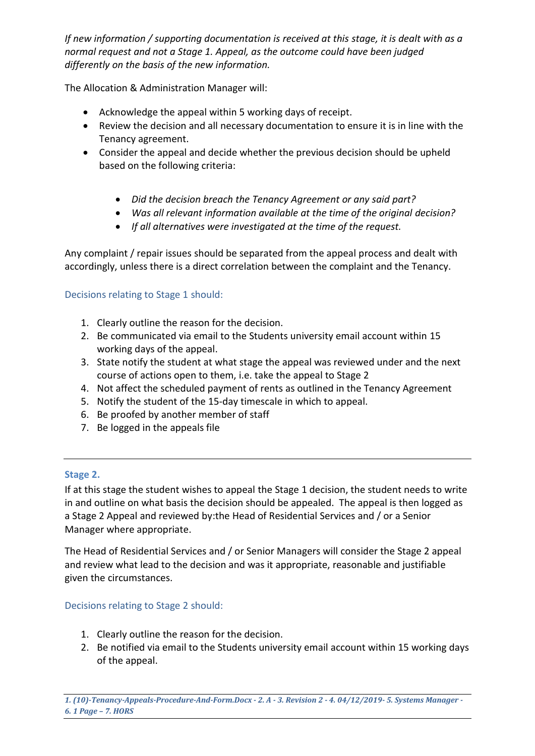*If new information / supporting documentation is received at this stage, it is dealt with as a normal request and not a Stage 1. Appeal, as the outcome could have been judged differently on the basis of the new information.*

The Allocation & Administration Manager will:

- Acknowledge the appeal within 5 working days of receipt.
- Review the decision and all necessary documentation to ensure it is in line with the Tenancy agreement.
- Consider the appeal and decide whether the previous decision should be upheld based on the following criteria:
	- *Did the decision breach the Tenancy Agreement or any said part?*
	- *Was all relevant information available at the time of the original decision?*
	- *If all alternatives were investigated at the time of the request.*

Any complaint / repair issues should be separated from the appeal process and dealt with accordingly, unless there is a direct correlation between the complaint and the Tenancy.

# Decisions relating to Stage 1 should:

- 1. Clearly outline the reason for the decision.
- 2. Be communicated via email to the Students university email account within 15 working days of the appeal.
- 3. State notify the student at what stage the appeal was reviewed under and the next course of actions open to them, i.e. take the appeal to Stage 2
- 4. Not affect the scheduled payment of rents as outlined in the Tenancy Agreement
- 5. Notify the student of the 15-day timescale in which to appeal.
- 6. Be proofed by another member of staff
- 7. Be logged in the appeals file

## **Stage 2.**

If at this stage the student wishes to appeal the Stage 1 decision, the student needs to write in and outline on what basis the decision should be appealed. The appeal is then logged as a Stage 2 Appeal and reviewed by:the Head of Residential Services and / or a Senior Manager where appropriate.

The Head of Residential Services and / or Senior Managers will consider the Stage 2 appeal and review what lead to the decision and was it appropriate, reasonable and justifiable given the circumstances.

Decisions relating to Stage 2 should:

- 1. Clearly outline the reason for the decision.
- 2. Be notified via email to the Students university email account within 15 working days of the appeal.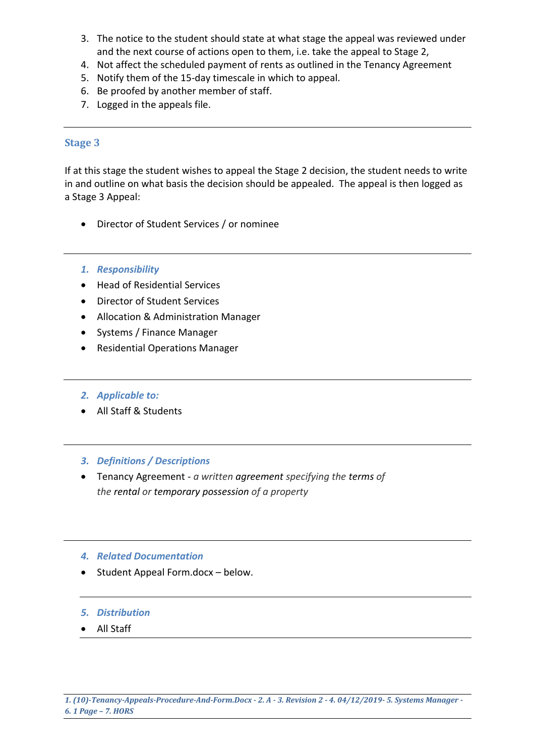- 3. The notice to the student should state at what stage the appeal was reviewed under and the next course of actions open to them, i.e. take the appeal to Stage 2,
- 4. Not affect the scheduled payment of rents as outlined in the Tenancy Agreement
- 5. Notify them of the 15-day timescale in which to appeal.
- 6. Be proofed by another member of staff.
- 7. Logged in the appeals file.

#### **Stage 3**

If at this stage the student wishes to appeal the Stage 2 decision, the student needs to write in and outline on what basis the decision should be appealed. The appeal is then logged as a Stage 3 Appeal:

- Director of Student Services / or nominee
- *1. Responsibility*
- Head of Residential Services
- Director of Student Services
- Allocation & Administration Manager
- Systems / Finance Manager
- Residential Operations Manager
- *2. Applicable to:*
- All Staff & Students

## *3. Definitions / Descriptions*

 Tenancy Agreement - *a written agreement specifying the terms of the rental or temporary possession of a property*

## *4. Related Documentation*

- Student Appeal Form.docx below.
- *5. Distribution*
- All Staff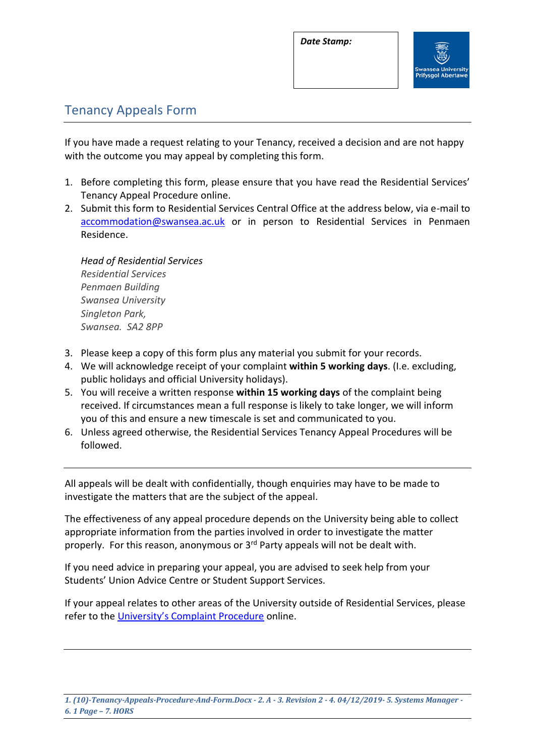*Date Stamp:*



# Tenancy Appeals Form

If you have made a request relating to your Tenancy, received a decision and are not happy with the outcome you may appeal by completing this form.

- 1. Before completing this form, please ensure that you have read the Residential Services' Tenancy Appeal Procedure online.
- 2. Submit this form to Residential Services Central Office at the address below, via e-mail to [accommodation@swansea.ac.uk](mailto:accommodation@swansea.ac.uk) or in person to Residential Services in Penmaen Residence.

*Head of Residential Services Residential Services Penmaen Building Swansea University Singleton Park, Swansea. SA2 8PP*

- 3. Please keep a copy of this form plus any material you submit for your records.
- 4. We will acknowledge receipt of your complaint **within 5 working days**. (I.e. excluding, public holidays and official University holidays).
- 5. You will receive a written response **within 15 working days** of the complaint being received. If circumstances mean a full response is likely to take longer, we will inform you of this and ensure a new timescale is set and communicated to you.
- 6. Unless agreed otherwise, the Residential Services Tenancy Appeal Procedures will be followed.

All appeals will be dealt with confidentially, though enquiries may have to be made to investigate the matters that are the subject of the appeal.

The effectiveness of any appeal procedure depends on the University being able to collect appropriate information from the parties involved in order to investigate the matter properly. For this reason, anonymous or 3rd Party appeals will not be dealt with.

If you need advice in preparing your appeal, you are advised to seek help from your Students' Union Advice Centre or Student Support Services.

If your appeal relates to other areas of the University outside of Residential Services, please refer to the [University's Complaint Procedure](http://www.swansea.ac.uk/registry/academicguide/conductandcomplaints/complaintsprocedure/6procedurefordealingwithastudentcomplaint/) online.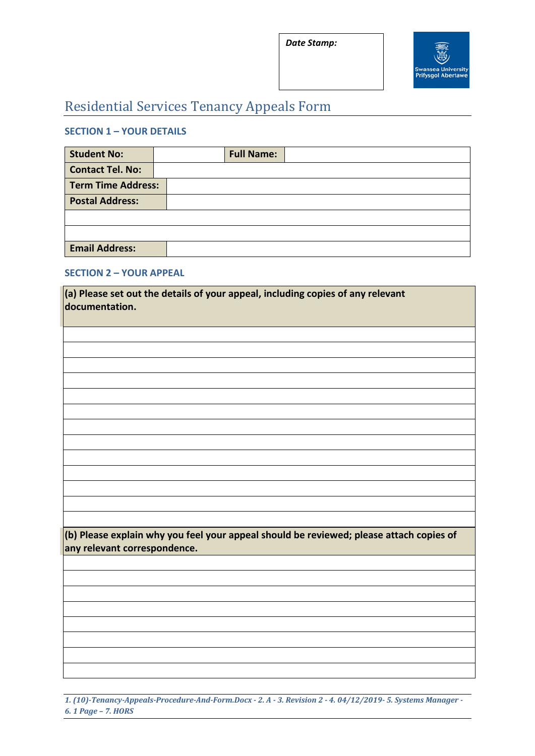*Date Stamp:*



# Residential Services Tenancy Appeals Form

# **SECTION 1 – YOUR DETAILS**

| <b>Student No:</b>        | <b>Full Name:</b> |  |
|---------------------------|-------------------|--|
| <b>Contact Tel. No:</b>   |                   |  |
| <b>Term Time Address:</b> |                   |  |
| <b>Postal Address:</b>    |                   |  |
|                           |                   |  |
|                           |                   |  |
| <b>Email Address:</b>     |                   |  |

#### **SECTION 2 – YOUR APPEAL**

| $\vert$ (a) Please set out the details of your appeal, including copies of any relevant<br>documentation.                       |  |  |  |  |
|---------------------------------------------------------------------------------------------------------------------------------|--|--|--|--|
|                                                                                                                                 |  |  |  |  |
|                                                                                                                                 |  |  |  |  |
|                                                                                                                                 |  |  |  |  |
|                                                                                                                                 |  |  |  |  |
|                                                                                                                                 |  |  |  |  |
|                                                                                                                                 |  |  |  |  |
|                                                                                                                                 |  |  |  |  |
| $\vert$ (b) Please explain why you feel your appeal should be reviewed; please attach copies of<br>any relevant correspondence. |  |  |  |  |
|                                                                                                                                 |  |  |  |  |
|                                                                                                                                 |  |  |  |  |
|                                                                                                                                 |  |  |  |  |
|                                                                                                                                 |  |  |  |  |